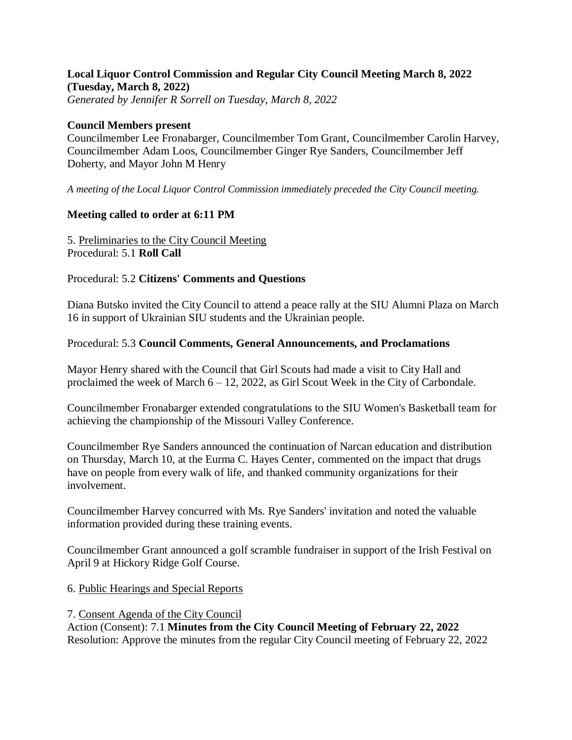#### **Local Liquor Control Commission and Regular City Council Meeting March 8, 2022 (Tuesday, March 8, 2022)** *Generated by Jennifer R Sorrell on Tuesday, March 8, 2022*

#### **Council Members present**

Councilmember Lee Fronabarger, Councilmember Tom Grant, Councilmember Carolin Harvey, Councilmember Adam Loos, Councilmember Ginger Rye Sanders, Councilmember Jeff Doherty, and Mayor John M Henry

*A meeting of the Local Liquor Control Commission immediately preceded the City Council meeting.*

### **Meeting called to order at 6:11 PM**

5. Preliminaries to the City Council Meeting Procedural: 5.1 **Roll Call**

#### Procedural: 5.2 **Citizens' Comments and Questions**

Diana Butsko invited the City Council to attend a peace rally at the SIU Alumni Plaza on March 16 in support of Ukrainian SIU students and the Ukrainian people.

#### Procedural: 5.3 **Council Comments, General Announcements, and Proclamations**

Mayor Henry shared with the Council that Girl Scouts had made a visit to City Hall and proclaimed the week of March 6 – 12, 2022, as Girl Scout Week in the City of Carbondale.

Councilmember Fronabarger extended congratulations to the SIU Women's Basketball team for achieving the championship of the Missouri Valley Conference.

Councilmember Rye Sanders announced the continuation of Narcan education and distribution on Thursday, March 10, at the Eurma C. Hayes Center, commented on the impact that drugs have on people from every walk of life, and thanked community organizations for their involvement.

Councilmember Harvey concurred with Ms. Rye Sanders' invitation and noted the valuable information provided during these training events.

Councilmember Grant announced a golf scramble fundraiser in support of the Irish Festival on April 9 at Hickory Ridge Golf Course.

#### 6. Public Hearings and Special Reports

7. Consent Agenda of the City Council Action (Consent): 7.1 **Minutes from the City Council Meeting of February 22, 2022** Resolution: Approve the minutes from the regular City Council meeting of February 22, 2022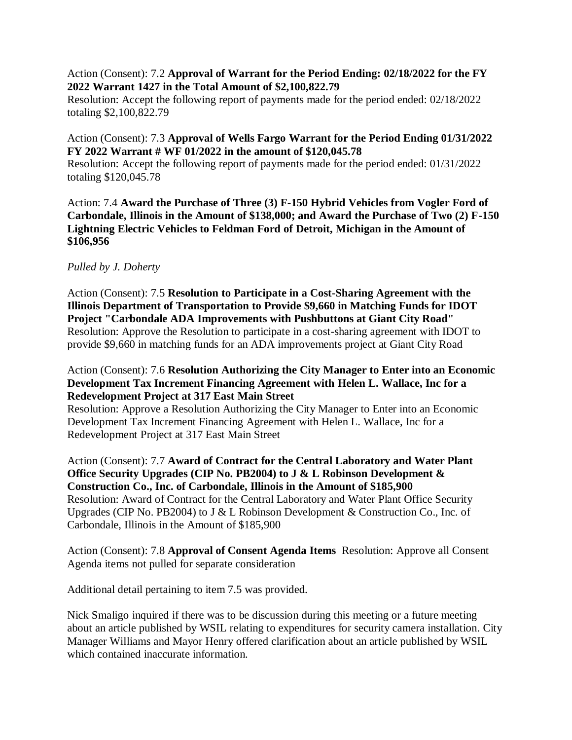## Action (Consent): 7.2 **Approval of Warrant for the Period Ending: 02/18/2022 for the FY 2022 Warrant 1427 in the Total Amount of \$2,100,822.79**

Resolution: Accept the following report of payments made for the period ended: 02/18/2022 totaling \$2,100,822.79

# Action (Consent): 7.3 **Approval of Wells Fargo Warrant for the Period Ending 01/31/2022 FY 2022 Warrant # WF 01/2022 in the amount of \$120,045.78**

Resolution: Accept the following report of payments made for the period ended: 01/31/2022 totaling \$120,045.78

Action: 7.4 **Award the Purchase of Three (3) F-150 Hybrid Vehicles from Vogler Ford of Carbondale, Illinois in the Amount of \$138,000; and Award the Purchase of Two (2) F-150 Lightning Electric Vehicles to Feldman Ford of Detroit, Michigan in the Amount of \$106,956**

# *Pulled by J. Doherty*

Action (Consent): 7.5 **Resolution to Participate in a Cost-Sharing Agreement with the Illinois Department of Transportation to Provide \$9,660 in Matching Funds for IDOT Project "Carbondale ADA Improvements with Pushbuttons at Giant City Road"** Resolution: Approve the Resolution to participate in a cost-sharing agreement with IDOT to provide \$9,660 in matching funds for an ADA improvements project at Giant City Road

## Action (Consent): 7.6 **Resolution Authorizing the City Manager to Enter into an Economic Development Tax Increment Financing Agreement with Helen L. Wallace, Inc for a Redevelopment Project at 317 East Main Street**

Resolution: Approve a Resolution Authorizing the City Manager to Enter into an Economic Development Tax Increment Financing Agreement with Helen L. Wallace, Inc for a Redevelopment Project at 317 East Main Street

## Action (Consent): 7.7 **Award of Contract for the Central Laboratory and Water Plant Office Security Upgrades (CIP No. PB2004) to J & L Robinson Development & Construction Co., Inc. of Carbondale, Illinois in the Amount of \$185,900** Resolution: Award of Contract for the Central Laboratory and Water Plant Office Security Upgrades (CIP No. PB2004) to J & L Robinson Development & Construction Co., Inc. of Carbondale, Illinois in the Amount of \$185,900

Action (Consent): 7.8 **Approval of Consent Agenda Items** Resolution: Approve all Consent Agenda items not pulled for separate consideration

Additional detail pertaining to item 7.5 was provided.

Nick Smaligo inquired if there was to be discussion during this meeting or a future meeting about an article published by WSIL relating to expenditures for security camera installation. City Manager Williams and Mayor Henry offered clarification about an article published by WSIL which contained inaccurate information.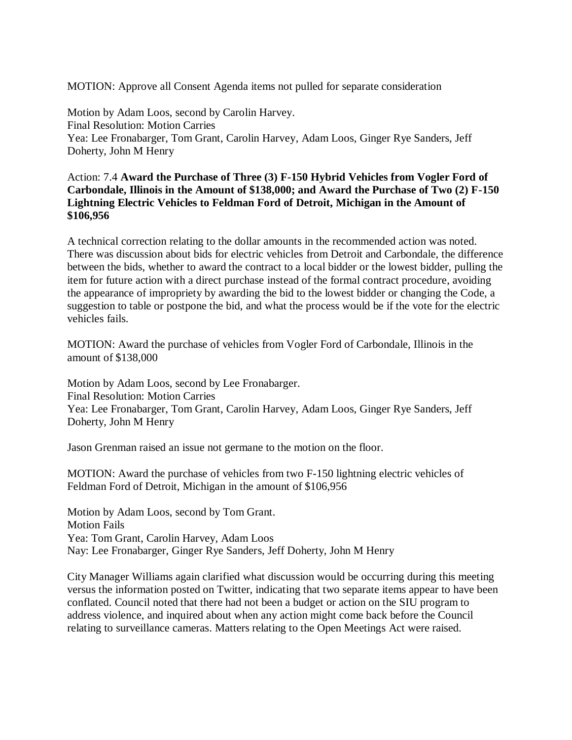MOTION: Approve all Consent Agenda items not pulled for separate consideration

Motion by Adam Loos, second by Carolin Harvey. Final Resolution: Motion Carries Yea: Lee Fronabarger, Tom Grant, Carolin Harvey, Adam Loos, Ginger Rye Sanders, Jeff Doherty, John M Henry

## Action: 7.4 **Award the Purchase of Three (3) F-150 Hybrid Vehicles from Vogler Ford of Carbondale, Illinois in the Amount of \$138,000; and Award the Purchase of Two (2) F-150 Lightning Electric Vehicles to Feldman Ford of Detroit, Michigan in the Amount of \$106,956**

A technical correction relating to the dollar amounts in the recommended action was noted. There was discussion about bids for electric vehicles from Detroit and Carbondale, the difference between the bids, whether to award the contract to a local bidder or the lowest bidder, pulling the item for future action with a direct purchase instead of the formal contract procedure, avoiding the appearance of impropriety by awarding the bid to the lowest bidder or changing the Code, a suggestion to table or postpone the bid, and what the process would be if the vote for the electric vehicles fails.

MOTION: Award the purchase of vehicles from Vogler Ford of Carbondale, Illinois in the amount of \$138,000

Motion by Adam Loos, second by Lee Fronabarger. Final Resolution: Motion Carries Yea: Lee Fronabarger, Tom Grant, Carolin Harvey, Adam Loos, Ginger Rye Sanders, Jeff Doherty, John M Henry

Jason Grenman raised an issue not germane to the motion on the floor.

MOTION: Award the purchase of vehicles from two F-150 lightning electric vehicles of Feldman Ford of Detroit, Michigan in the amount of \$106,956

Motion by Adam Loos, second by Tom Grant. Motion Fails Yea: Tom Grant, Carolin Harvey, Adam Loos Nay: Lee Fronabarger, Ginger Rye Sanders, Jeff Doherty, John M Henry

City Manager Williams again clarified what discussion would be occurring during this meeting versus the information posted on Twitter, indicating that two separate items appear to have been conflated. Council noted that there had not been a budget or action on the SIU program to address violence, and inquired about when any action might come back before the Council relating to surveillance cameras. Matters relating to the Open Meetings Act were raised.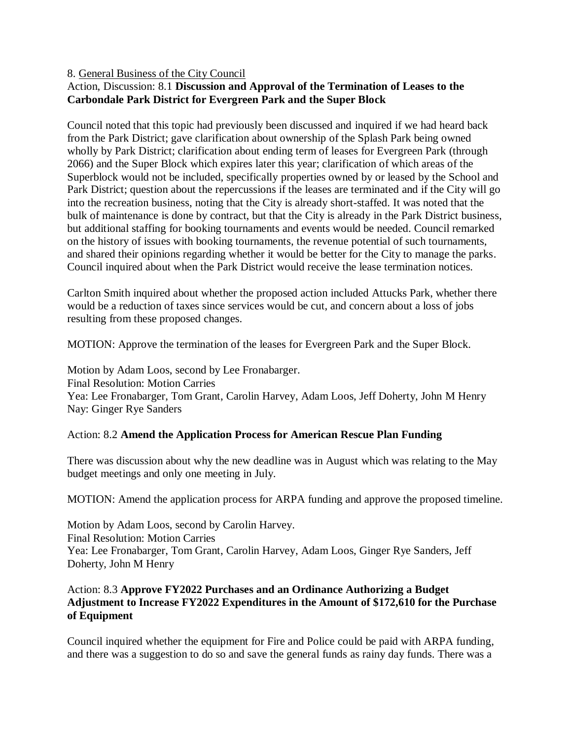## 8. General Business of the City Council

# Action, Discussion: 8.1 **Discussion and Approval of the Termination of Leases to the Carbondale Park District for Evergreen Park and the Super Block**

Council noted that this topic had previously been discussed and inquired if we had heard back from the Park District; gave clarification about ownership of the Splash Park being owned wholly by Park District; clarification about ending term of leases for Evergreen Park (through 2066) and the Super Block which expires later this year; clarification of which areas of the Superblock would not be included, specifically properties owned by or leased by the School and Park District; question about the repercussions if the leases are terminated and if the City will go into the recreation business, noting that the City is already short-staffed. It was noted that the bulk of maintenance is done by contract, but that the City is already in the Park District business, but additional staffing for booking tournaments and events would be needed. Council remarked on the history of issues with booking tournaments, the revenue potential of such tournaments, and shared their opinions regarding whether it would be better for the City to manage the parks. Council inquired about when the Park District would receive the lease termination notices.

Carlton Smith inquired about whether the proposed action included Attucks Park, whether there would be a reduction of taxes since services would be cut, and concern about a loss of jobs resulting from these proposed changes.

MOTION: Approve the termination of the leases for Evergreen Park and the Super Block.

Motion by Adam Loos, second by Lee Fronabarger. Final Resolution: Motion Carries Yea: Lee Fronabarger, Tom Grant, Carolin Harvey, Adam Loos, Jeff Doherty, John M Henry Nay: Ginger Rye Sanders

### Action: 8.2 **Amend the Application Process for American Rescue Plan Funding**

There was discussion about why the new deadline was in August which was relating to the May budget meetings and only one meeting in July.

MOTION: Amend the application process for ARPA funding and approve the proposed timeline.

Motion by Adam Loos, second by Carolin Harvey. Final Resolution: Motion Carries Yea: Lee Fronabarger, Tom Grant, Carolin Harvey, Adam Loos, Ginger Rye Sanders, Jeff Doherty, John M Henry

# Action: 8.3 **Approve FY2022 Purchases and an Ordinance Authorizing a Budget Adjustment to Increase FY2022 Expenditures in the Amount of \$172,610 for the Purchase of Equipment**

Council inquired whether the equipment for Fire and Police could be paid with ARPA funding, and there was a suggestion to do so and save the general funds as rainy day funds. There was a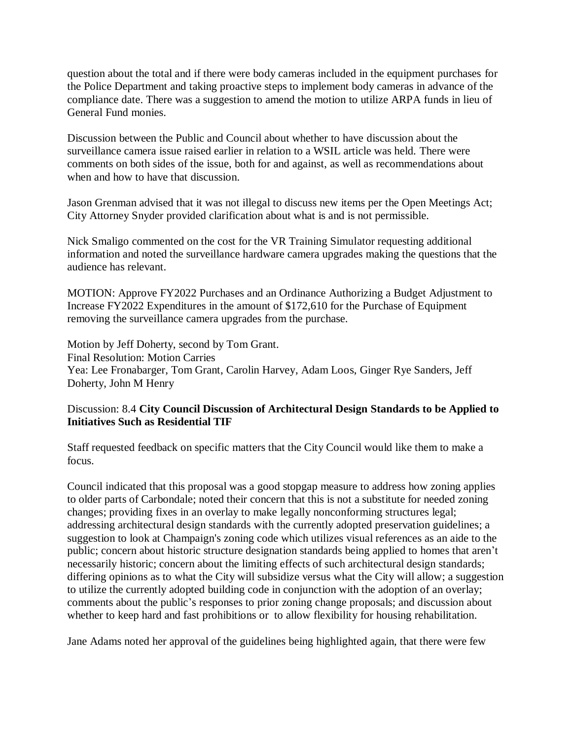question about the total and if there were body cameras included in the equipment purchases for the Police Department and taking proactive steps to implement body cameras in advance of the compliance date. There was a suggestion to amend the motion to utilize ARPA funds in lieu of General Fund monies.

Discussion between the Public and Council about whether to have discussion about the surveillance camera issue raised earlier in relation to a WSIL article was held. There were comments on both sides of the issue, both for and against, as well as recommendations about when and how to have that discussion.

Jason Grenman advised that it was not illegal to discuss new items per the Open Meetings Act; City Attorney Snyder provided clarification about what is and is not permissible.

Nick Smaligo commented on the cost for the VR Training Simulator requesting additional information and noted the surveillance hardware camera upgrades making the questions that the audience has relevant.

MOTION: Approve FY2022 Purchases and an Ordinance Authorizing a Budget Adjustment to Increase FY2022 Expenditures in the amount of \$172,610 for the Purchase of Equipment removing the surveillance camera upgrades from the purchase.

Motion by Jeff Doherty, second by Tom Grant. Final Resolution: Motion Carries Yea: Lee Fronabarger, Tom Grant, Carolin Harvey, Adam Loos, Ginger Rye Sanders, Jeff Doherty, John M Henry

# Discussion: 8.4 **City Council Discussion of Architectural Design Standards to be Applied to Initiatives Such as Residential TIF**

Staff requested feedback on specific matters that the City Council would like them to make a focus.

Council indicated that this proposal was a good stopgap measure to address how zoning applies to older parts of Carbondale; noted their concern that this is not a substitute for needed zoning changes; providing fixes in an overlay to make legally nonconforming structures legal; addressing architectural design standards with the currently adopted preservation guidelines; a suggestion to look at Champaign's zoning code which utilizes visual references as an aide to the public; concern about historic structure designation standards being applied to homes that aren't necessarily historic; concern about the limiting effects of such architectural design standards; differing opinions as to what the City will subsidize versus what the City will allow; a suggestion to utilize the currently adopted building code in conjunction with the adoption of an overlay; comments about the public's responses to prior zoning change proposals; and discussion about whether to keep hard and fast prohibitions or to allow flexibility for housing rehabilitation.

Jane Adams noted her approval of the guidelines being highlighted again, that there were few